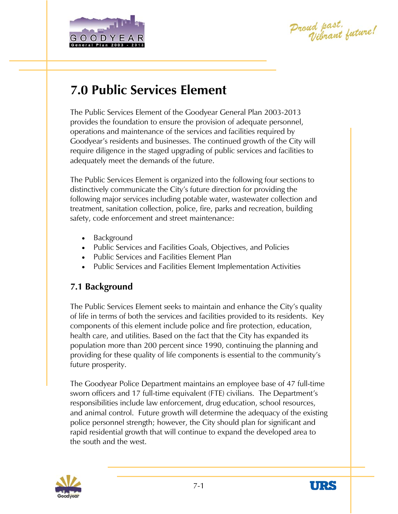

Proud past.<br>Vibrant future!

# **7.0 Public Services Element**

The Public Services Element of the Goodyear General Plan 2003-2013 provides the foundation to ensure the provision of adequate personnel, operations and maintenance of the services and facilities required by Goodyear's residents and businesses. The continued growth of the City will require diligence in the staged upgrading of public services and facilities to adequately meet the demands of the future.

The Public Services Element is organized into the following four sections to distinctively communicate the City's future direction for providing the following major services including potable water, wastewater collection and treatment, sanitation collection, police, fire, parks and recreation, building safety, code enforcement and street maintenance:

- Background
- Public Services and Facilities Goals, Objectives, and Policies
- Public Services and Facilities Element Plan
- Public Services and Facilities Element Implementation Activities

# **7.1 Background**

The Public Services Element seeks to maintain and enhance the City's quality of life in terms of both the services and facilities provided to its residents. Key components of this element include police and fire protection, education, health care, and utilities. Based on the fact that the City has expanded its population more than 200 percent since 1990, continuing the planning and providing for these quality of life components is essential to the community's future prosperity.

The Goodyear Police Department maintains an employee base of 47 full-time sworn officers and 17 full-time equivalent (FTE) civilians. The Department's responsibilities include law enforcement, drug education, school resources, and animal control. Future growth will determine the adequacy of the existing police personnel strength; however, the City should plan for significant and rapid residential growth that will continue to expand the developed area to the south and the west.



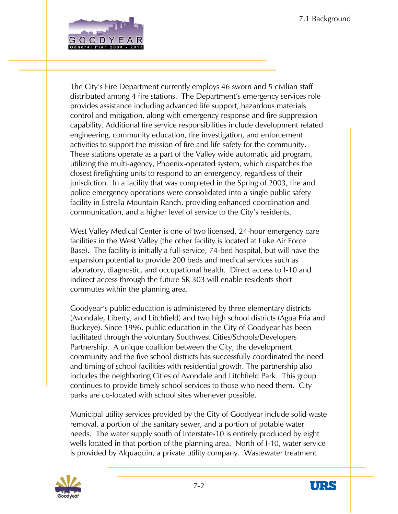

The City's Fire Department currently employs 46 sworn and 5 civilian staff distributed among 4 fire stations. The Department's emergency services role provides assistance including advanced life support, hazardous materials control and mitigation, along with emergency response and fire suppression capability. Additional fire service responsibilities include development related engineering, community education, fire investigation, and enforcement activities to support the mission of fire and life safety for the community. These stations operate as a part of the Valley wide automatic aid program, utilizing the multi-agency, Phoenix-operated system, which dispatches the closest firefighting units to respond to an emergency, regardless of their jurisdiction. In a facility that was completed in the Spring of 2003, fire and police emergency operations were consolidated into a single public safety facility in Estrella Mountain Ranch, providing enhanced coordination and communication, and a higher level of service to the City's residents.

West Valley Medical Center is one of two licensed, 24-hour emergency care facilities in the West Valley (the other facility is located at Luke Air Force Base). The facility is initially a full-service, 74-bed hospital, but will have the expansion potential to provide 200 beds and medical services such as laboratory, diagnostic, and occupational health. Direct access to I-10 and indirect access through the future SR 303 will enable residents short commutes within the planning area.

Goodyear's public education is administered by three elementary districts (Avondale, Liberty, and Litchfield) and two high school districts (Agua Fria and Buckeye). Since 1996, public education in the City of Goodyear has been facilitated through the voluntary Southwest Cities/Schools/Developers Partnership. A unique coalition between the City, the development community and the five school districts has successfully coordinated the need and timing of school facilities with residential growth. The partnership also includes the neighboring Cities of Avondale and Litchfield Park. This group continues to provide timely school services to those who need them. City parks are co-located with school sites whenever possible.

Municipal utility services provided by the City of Goodyear include solid waste removal, a portion of the sanitary sewer, and a portion of potable water needs. The water supply south of Interstate-10 is entirely produced by eight wells located in that portion of the planning area. North of I-10, water service is provided by Alquaquin, a private utility company. Wastewater treatment



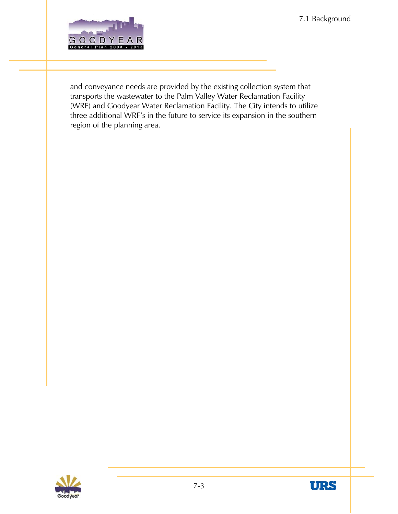7.1 Background



and conveyance needs are provided by the existing collection system that transports the wastewater to the Palm Valley Water Reclamation Facility (WRF) and Goodyear Water Reclamation Facility. The City intends to utilize three additional WRF's in the future to service its expansion in the southern region of the planning area.



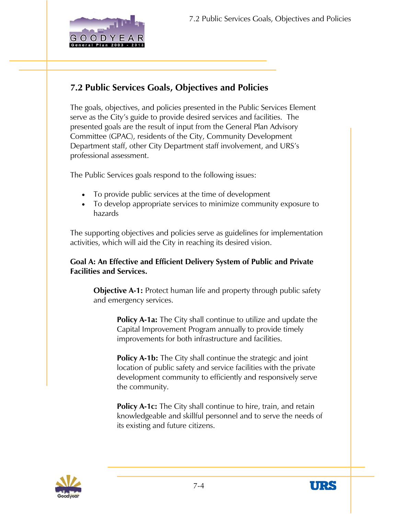

## **7.2 Public Services Goals, Objectives and Policies**

The goals, objectives, and policies presented in the Public Services Element serve as the City's guide to provide desired services and facilities. The presented goals are the result of input from the General Plan Advisory Committee (GPAC), residents of the City, Community Development Department staff, other City Department staff involvement, and URS's professional assessment.

The Public Services goals respond to the following issues:

- To provide public services at the time of development
- To develop appropriate services to minimize community exposure to hazards

The supporting objectives and policies serve as guidelines for implementation activities, which will aid the City in reaching its desired vision.

#### **Goal A: An Effective and Efficient Delivery System of Public and Private Facilities and Services.**

**Objective A-1:** Protect human life and property through public safety and emergency services.

> **Policy A-1a:** The City shall continue to utilize and update the Capital Improvement Program annually to provide timely improvements for both infrastructure and facilities.

> **Policy A-1b:** The City shall continue the strategic and joint location of public safety and service facilities with the private development community to efficiently and responsively serve the community.

**Policy A-1c:** The City shall continue to hire, train, and retain knowledgeable and skillful personnel and to serve the needs of its existing and future citizens.



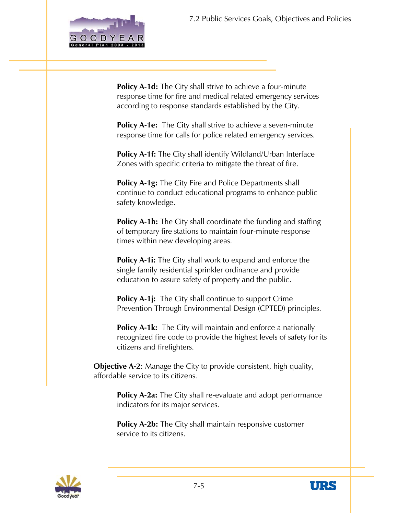

**Policy A-1d:** The City shall strive to achieve a four-minute response time for fire and medical related emergency services according to response standards established by the City.

**Policy A-1e:** The City shall strive to achieve a seven-minute response time for calls for police related emergency services.

**Policy A-1f:** The City shall identify Wildland/Urban Interface Zones with specific criteria to mitigate the threat of fire.

**Policy A-1g:** The City Fire and Police Departments shall continue to conduct educational programs to enhance public safety knowledge.

**Policy A-1h:** The City shall coordinate the funding and staffing of temporary fire stations to maintain four-minute response times within new developing areas.

**Policy A-1i:** The City shall work to expand and enforce the single family residential sprinkler ordinance and provide education to assure safety of property and the public.

**Policy A-1j:** The City shall continue to support Crime Prevention Through Environmental Design (CPTED) principles.

**Policy A-1k:** The City will maintain and enforce a nationally recognized fire code to provide the highest levels of safety for its citizens and firefighters.

**Objective A-2**: Manage the City to provide consistent, high quality, affordable service to its citizens.

> **Policy A-2a:** The City shall re-evaluate and adopt performance indicators for its major services.

**Policy A-2b:** The City shall maintain responsive customer service to its citizens.



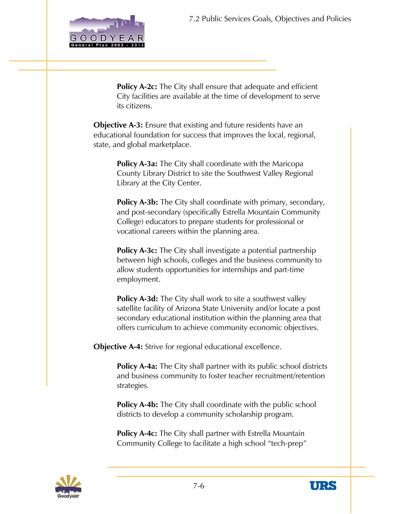

**Policy A-2c:** The City shall ensure that adequate and efficient City facilities are available at the time of development to serve its citizens.

**Objective A-3:** Ensure that existing and future residents have an educational foundation for success that improves the local, regional, state, and global marketplace.

> **Policy A-3a:** The City shall coordinate with the Maricopa County Library District to site the Southwest Valley Regional Library at the City Center.

**Policy A-3b:** The City shall coordinate with primary, secondary, and post-secondary (specifically Estrella Mountain Community College) educators to prepare students for professional or vocational careers within the planning area.

**Policy A-3c:** The City shall investigate a potential partnership between high schools, colleges and the business community to allow students opportunities for internships and part-time employment.

**Policy A-3d:** The City shall work to site a southwest valley satellite facility of Arizona State University and/or locate a post secondary educational institution within the planning area that offers curriculum to achieve community economic objectives.

**Objective A-4:** Strive for regional educational excellence.

**Policy A-4a:** The City shall partner with its public school districts and business community to foster teacher recruitment/retention strategies.

**Policy A-4b:** The City shall coordinate with the public school districts to develop a community scholarship program.

**Policy A-4c:** The City shall partner with Estrella Mountain Community College to facilitate a high school "tech-prep"



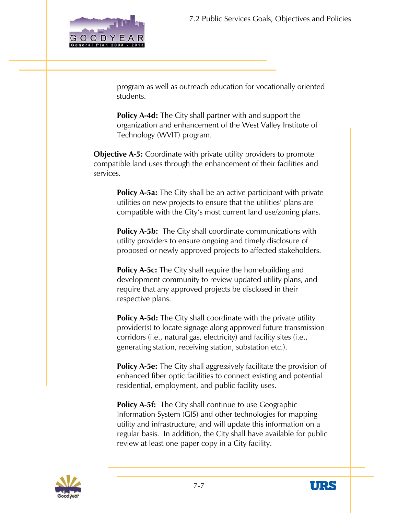

program as well as outreach education for vocationally oriented students.

**Policy A-4d:** The City shall partner with and support the organization and enhancement of the West Valley Institute of Technology (WVIT) program.

**Objective A-5:** Coordinate with private utility providers to promote compatible land uses through the enhancement of their facilities and services.

> **Policy A-5a:** The City shall be an active participant with private utilities on new projects to ensure that the utilities' plans are compatible with the City's most current land use/zoning plans.

**Policy A-5b:** The City shall coordinate communications with utility providers to ensure ongoing and timely disclosure of proposed or newly approved projects to affected stakeholders.

**Policy A-5c:** The City shall require the homebuilding and development community to review updated utility plans, and require that any approved projects be disclosed in their respective plans.

**Policy A-5d:** The City shall coordinate with the private utility provider(s) to locate signage along approved future transmission corridors (i.e., natural gas, electricity) and facility sites (i.e., generating station, receiving station, substation etc.).

**Policy A-5e:** The City shall aggressively facilitate the provision of enhanced fiber optic facilities to connect existing and potential residential, employment, and public facility uses.

**Policy A-5f:** The City shall continue to use Geographic Information System (GIS) and other technologies for mapping utility and infrastructure, and will update this information on a regular basis. In addition, the City shall have available for public review at least one paper copy in a City facility.



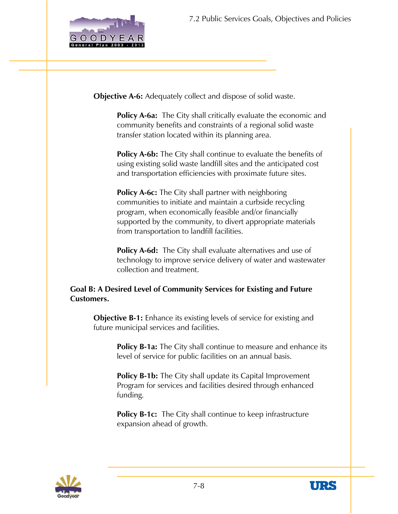

**Objective A-6:** Adequately collect and dispose of solid waste.

**Policy A-6a:** The City shall critically evaluate the economic and community benefits and constraints of a regional solid waste transfer station located within its planning area.

**Policy A-6b:** The City shall continue to evaluate the benefits of using existing solid waste landfill sites and the anticipated cost and transportation efficiencies with proximate future sites.

**Policy A-6c:** The City shall partner with neighboring communities to initiate and maintain a curbside recycling program, when economically feasible and/or financially supported by the community, to divert appropriate materials from transportation to landfill facilities.

**Policy A-6d:** The City shall evaluate alternatives and use of technology to improve service delivery of water and wastewater collection and treatment.

#### **Goal B: A Desired Level of Community Services for Existing and Future Customers.**

**Objective B-1:** Enhance its existing levels of service for existing and future municipal services and facilities.

> **Policy B-1a:** The City shall continue to measure and enhance its level of service for public facilities on an annual basis.

**Policy B-1b:** The City shall update its Capital Improvement Program for services and facilities desired through enhanced funding.

**Policy B-1c:** The City shall continue to keep infrastructure expansion ahead of growth.



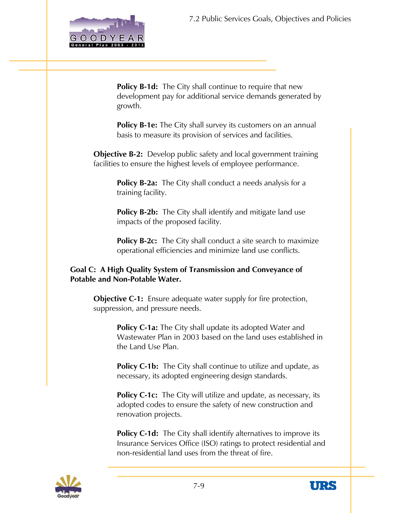

**Policy B-1d:** The City shall continue to require that new development pay for additional service demands generated by growth.

**Policy B-1e:** The City shall survey its customers on an annual basis to measure its provision of services and facilities.

**Objective B-2:** Develop public safety and local government training facilities to ensure the highest levels of employee performance.

> **Policy B-2a:** The City shall conduct a needs analysis for a training facility.

> Policy B-2b: The City shall identify and mitigate land use impacts of the proposed facility.

**Policy B-2c:** The City shall conduct a site search to maximize operational efficiencies and minimize land use conflicts.

#### **Goal C: A High Quality System of Transmission and Conveyance of Potable and Non-Potable Water.**

**Objective C-1:** Ensure adequate water supply for fire protection, suppression, and pressure needs.

> **Policy C-1a:** The City shall update its adopted Water and Wastewater Plan in 2003 based on the land uses established in the Land Use Plan.

**Policy C-1b:** The City shall continue to utilize and update, as necessary, its adopted engineering design standards.

**Policy C-1c:** The City will utilize and update, as necessary, its adopted codes to ensure the safety of new construction and renovation projects.

**Policy C-1d:** The City shall identify alternatives to improve its Insurance Services Office (ISO) ratings to protect residential and non-residential land uses from the threat of fire.



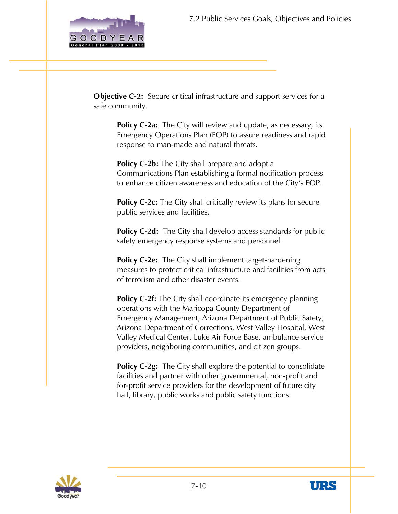

**Objective C-2:** Secure critical infrastructure and support services for a safe community.

**Policy C-2a:** The City will review and update, as necessary, its Emergency Operations Plan (EOP) to assure readiness and rapid response to man-made and natural threats.

**Policy C-2b:** The City shall prepare and adopt a Communications Plan establishing a formal notification process to enhance citizen awareness and education of the City's EOP.

**Policy C-2c:** The City shall critically review its plans for secure public services and facilities.

**Policy C-2d:** The City shall develop access standards for public safety emergency response systems and personnel.

**Policy C-2e:** The City shall implement target-hardening measures to protect critical infrastructure and facilities from acts of terrorism and other disaster events.

**Policy C-2f:** The City shall coordinate its emergency planning operations with the Maricopa County Department of Emergency Management, Arizona Department of Public Safety, Arizona Department of Corrections, West Valley Hospital, West Valley Medical Center, Luke Air Force Base, ambulance service providers, neighboring communities, and citizen groups.

**Policy C-2g:** The City shall explore the potential to consolidate facilities and partner with other governmental, non-profit and for-profit service providers for the development of future city hall, library, public works and public safety functions.



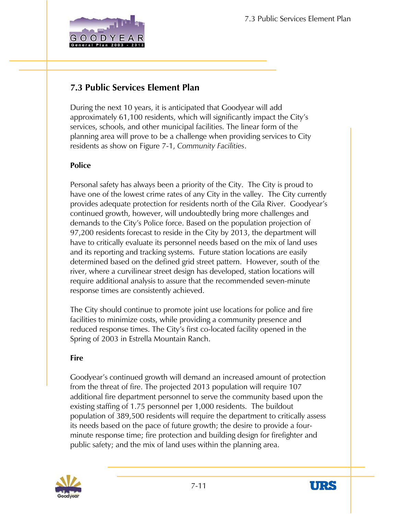

During the next 10 years, it is anticipated that Goodyear will add approximately 61,100 residents, which will significantly impact the City's services, schools, and other municipal facilities. The linear form of the planning area will prove to be a challenge when providing services to City residents as show on Figure 7-1, *Community Facilities*.

#### **Police**

Personal safety has always been a priority of the City. The City is proud to have one of the lowest crime rates of any City in the valley. The City currently provides adequate protection for residents north of the Gila River. Goodyear's continued growth, however, will undoubtedly bring more challenges and demands to the City's Police force. Based on the population projection of 97,200 residents forecast to reside in the City by 2013, the department will have to critically evaluate its personnel needs based on the mix of land uses and its reporting and tracking systems. Future station locations are easily determined based on the defined grid street pattern. However, south of the river, where a curvilinear street design has developed, station locations will require additional analysis to assure that the recommended seven-minute response times are consistently achieved.

The City should continue to promote joint use locations for police and fire facilities to minimize costs, while providing a community presence and reduced response times. The City's first co-located facility opened in the Spring of 2003 in Estrella Mountain Ranch.

#### **Fire**

Goodyear's continued growth will demand an increased amount of protection from the threat of fire. The projected 2013 population will require 107 additional fire department personnel to serve the community based upon the existing staffing of 1.75 personnel per 1,000 residents. The buildout population of 389,500 residents will require the department to critically assess its needs based on the pace of future growth; the desire to provide a fourminute response time; fire protection and building design for firefighter and public safety; and the mix of land uses within the planning area.



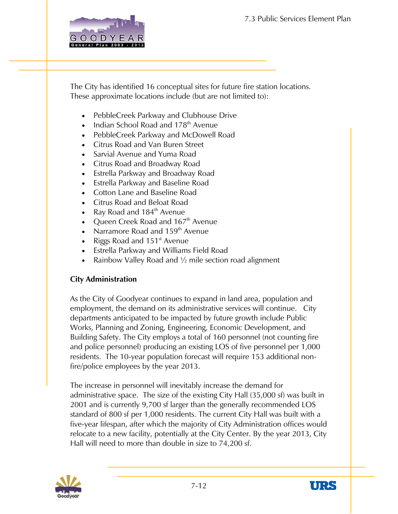

The City has identified 16 conceptual sites for future fire station locations. These approximate locations include (but are not limited to):

- PebbleCreek Parkway and Clubhouse Drive
- Indian School Road and 178<sup>th</sup> Avenue
- PebbleCreek Parkway and McDowell Road
- Citrus Road and Van Buren Street
- Sarvial Avenue and Yuma Road
- Citrus Road and Broadway Road
- Estrella Parkway and Broadway Road
- Estrella Parkway and Baseline Road
- Cotton Lane and Baseline Road
- Citrus Road and Beloat Road
- Ray Road and 184<sup>th</sup> Avenue
- Queen Creek Road and  $167<sup>th</sup>$  Avenue
- Narramore Road and 159<sup>th</sup> Avenue
- Riggs Road and 151<sup>st</sup> Avenue
- Estrella Parkway and Williams Field Road
- Rainbow Valley Road and  $\frac{1}{2}$  mile section road alignment

#### **City Administration**

As the City of Goodyear continues to expand in land area, population and employment, the demand on its administrative services will continue. City departments anticipated to be impacted by future growth include Public Works, Planning and Zoning, Engineering, Economic Development, and Building Safety. The City employs a total of 160 personnel (not counting fire and police personnel) producing an existing LOS of five personnel per 1,000 residents. The 10-year population forecast will require 153 additional nonfire/police employees by the year 2013.

The increase in personnel will inevitably increase the demand for administrative space. The size of the existing City Hall (35,000 sf) was built in 2001 and is currently 9,700 sf larger than the generally recommended LOS standard of 800 sf per 1,000 residents. The current City Hall was built with a five-year lifespan, after which the majority of City Administration offices would relocate to a new facility, potentially at the City Center. By the year 2013, City Hall will need to more than double in size to 74,200 sf.



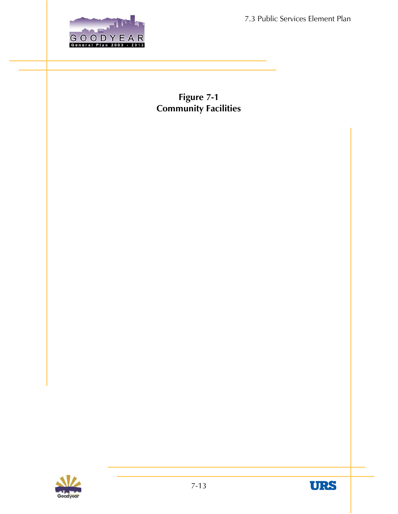

**Figure 7-1 Community Facilities** 



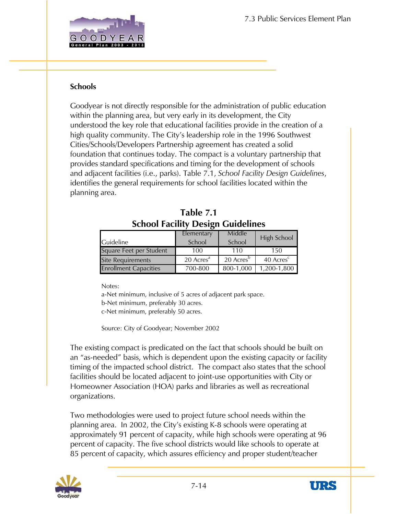

#### **Schools**

Goodyear is not directly responsible for the administration of public education within the planning area, but very early in its development, the City understood the key role that educational facilities provide in the creation of a high quality community. The City's leadership role in the 1996 Southwest Cities/Schools/Developers Partnership agreement has created a solid foundation that continues today. The compact is a voluntary partnership that provides standard specifications and timing for the development of schools and adjacent facilities (i.e., parks). Table 7.1, *School Facility Design Guidelines*, identifies the general requirements for school facilities located within the planning area.

|                              | Elementary            | Middle                | High School           |
|------------------------------|-----------------------|-----------------------|-----------------------|
| <b>Guideline</b>             | School                | School                |                       |
| Square Feet per Student      | 100                   | 110                   | 150                   |
| <b>Site Requirements</b>     | 20 Acres <sup>a</sup> | 20 Acres <sup>p</sup> | 40 Acres <sup>c</sup> |
| <b>Enrollment Capacities</b> | 700-800               | 800-1,000             | 1,200-1,800           |

**Table 7.1 School Facility Design Guidelines** 

Notes:

a-Net minimum, inclusive of 5 acres of adjacent park space. b-Net minimum, preferably 30 acres. c-Net minimum, preferably 50 acres.

Source: City of Goodyear; November 2002

he existing compact is predicated on the fact that schools should be built on T an "as-needed" basis, which is dependent upon the existing capacity or facility timing of the impacted school district. The compact also states that the school facilities should be located adjacent to joint-use opportunities with City or Homeowner Association (HOA) parks and libraries as well as recreational organizations.

Two methodologies were used to project future school needs within the approximately 91 percent of capacity, while high schools were operating at 96 planning area. In 2002, the City's existing K-8 schools were operating at percent of capacity. The five school districts would like schools to operate at 85 percent of capacity, which assures efficiency and proper student/teacher



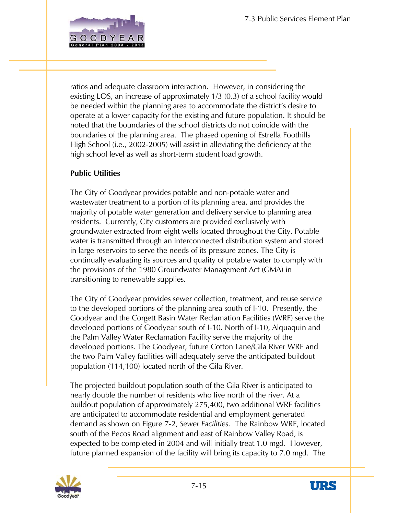

ratios and adequate classroom interaction. However, in considering the existing LOS, an increase of approximately 1/3 (0.3) of a school facility wo uld be needed within the planning area to accommodate the district's desire to operate at a lower capacity for the existing and future population. It should b e noted that the boundaries of the school districts do not coincide with the boundaries of the planning area. The phased opening of Estrella Foothills High School (i.e., 2002-2005) will assist in alleviating the deficiency at the high school level as well as short-term student load growth.

#### **ublic Utilities P**

he City of Goodyear provides potable and non-potable water and T wastewater treatment to a portion of its planning area, and provides the a majority of potable water generation and delivery service to planning are groundwater extracted from eight wells located throughout the City. Potable continually evaluating its sources and quality of potable water to comply with residents. Currently, City customers are provided exclusively with water is transmitted through an interconnected distribution system and stored in large reservoirs to serve the needs of its pressure zones. The City is the provisions of the 1980 Groundwater Management Act (GMA) in transitioning to renewable supplies.

he City of Goodyear provides sewer collection, treatment, and reuse service T Goodyear and the Corgett Basin Water Reclamation Facilities (WRF) serve the developed portions. The Goodyear, future Cotton Lane/Gila River WRF and to the developed portions of the planning area south of I-10. Presently, the developed portions of Goodyear south of I-10. North of I-10, Alquaquin and the Palm Valley Water Reclamation Facility serve the majority of the the two Palm Valley facilities will adequately serve the anticipated buildout population (114,100) located north of the Gila River.

he projected buildout population south of the Gila River is anticipated to T buildout population of approximately 275,400, two additional WRF facilities demand as shown on Figure 7-2, *Sewer Facilities*. The Rainbow WRF, located expected to be completed in 2004 and will initially treat 1.0 mgd. However, future planned expansion of the facility will bring its capacity to 7.0 mgd. The nearly double the number of residents who live north of the river. At a are anticipated to accommodate residential and employment generated south of the Pecos Road alignment and east of Rainbow Valley Road, is



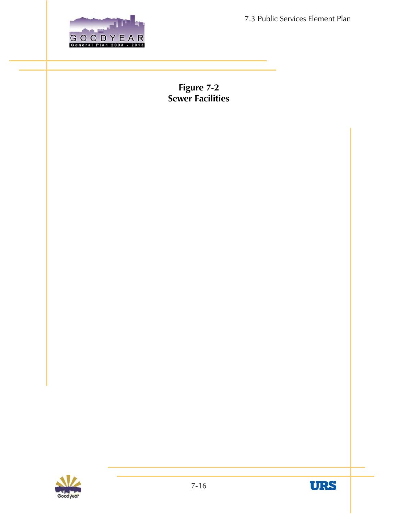

**Figure 7-2 Sewer Facilities** 



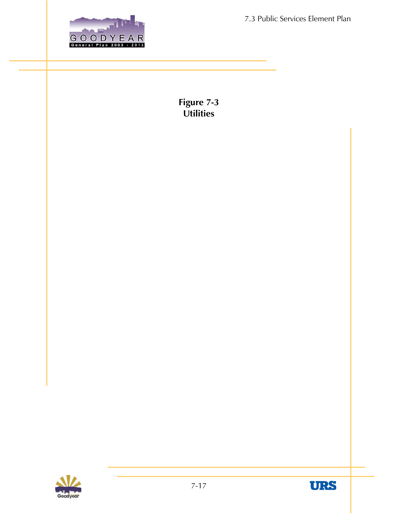

**Utilities Figure 7-3** 



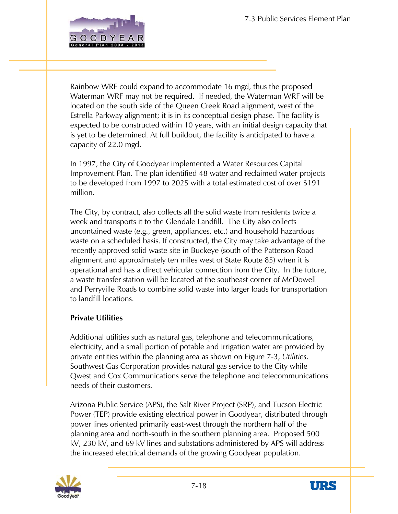

Rainbow WRF could expand to accommodate 16 mgd, thus the proposed Waterman WRF may not be required. If needed, the Waterman WRF will be located on the south side of the Queen Creek Road alignment, west of the Estrella Parkway alignment; it is in its conceptual design phase. The facility is xpected to be constructed within 10 years, with an initial design capacity that e yet to be determined. At full buildout, the facility is anticipated to have a iscapacity of 22.0 mgd.

In 1997, the City of Goodyear implemented a Water Resources Capital Improvement Plan. The plan identified 48 water and reclaimed water projects to be developed from 1997 to 2025 with a total estimated cost of over \$191 million.

The City, by contract, also collects all the solid waste from residents twice a week and transports it to the Glendale Landfill. The City also collects uncontained waste (e.g., green, appliances, etc.) and household hazardous waste on a scheduled basis. If constructed, the City may take advantage of the recently approved solid waste site in Buckeye (south of the Patterson Road alignment and approximately ten miles west of State Route 85) when it is operational and has a direct vehicular connection from the City. In the future, a waste transfer station will be located at the southeast corner of McDowell and Perryville Roads to combine solid waste into larger loads for transportation to landfill locations.

#### **Private Utilities**

Additional utilities such as natural gas, telephone and telecommunications, electricity, and a small portion of potable and irrigation water are provided by private entities within the planning area as shown on Figure 7-3, *Utilities*. Southwest Gas Corporation provides natural gas service to the City while Qwest and Cox Communications serve the telephone and telecommunications needs of their customers.

Arizona Public Service (APS), the Salt River Project (SRP), and Tucson Electric Power (TEP) provide existing electrical power in Goodyear, distributed through power lines oriented primarily east-west through the northern half of the planning area and north-south in the southern planning area. Proposed 500 kV, 230 kV, and 69 kV lines and substations administered by APS will address the increased electrical demands of the growing Goodyear population.